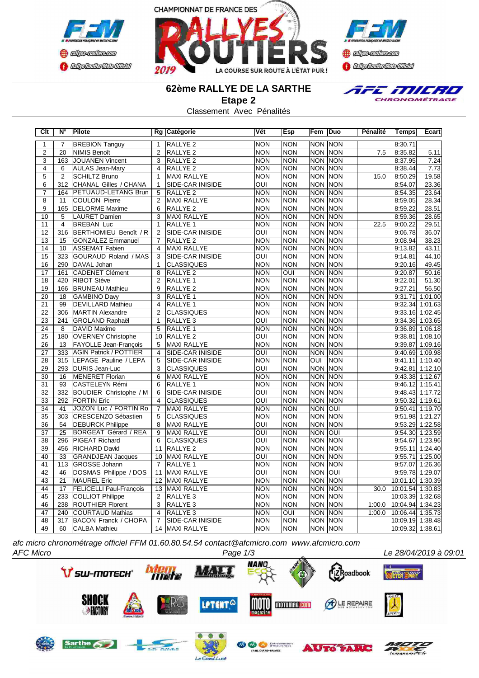





E MILRO CHRONOMÉTRAGE

# **62ème RALLYE DE LA SARTHE**

**Etape 2**

Classement Avec Pénalités

| Clt             | N°               | Pilote                         |                 | Rg Catégorie            | Vét                     | <b>Esp</b> | Fem Duo                 |                | Pénalité | <b>Temps</b>     | Ecart             |
|-----------------|------------------|--------------------------------|-----------------|-------------------------|-------------------------|------------|-------------------------|----------------|----------|------------------|-------------------|
| 1               | $\overline{7}$   | <b>BREBION Tanguy</b>          | $\mathbf{1}$    | RALLYE <sub>2</sub>     | <b>NON</b>              | <b>NON</b> | <b>NON</b>              | <b>NON</b>     |          | 8:30.71          |                   |
| $\overline{2}$  | $\overline{20}$  | NIMIS Benoît                   | $\overline{2}$  | RALLYE <sub>2</sub>     | <b>NON</b>              | <b>NON</b> | <b>NON</b>              | <b>NON</b>     | 7.5      | 8:35.82          | 5.11              |
| $\overline{3}$  | 163              | <b>JOUANEN Vincent</b>         | $\overline{3}$  | RALLYE <sub>2</sub>     | <b>NON</b>              | <b>NON</b> |                         | <b>NON NON</b> |          | 8:37.95          | 7.24              |
| $\overline{4}$  | 6                | <b>AULAS Jean-Mary</b>         | $\overline{4}$  | <b>RALLYE 2</b>         | <b>NON</b>              | <b>NON</b> | <b>NON</b>              | <b>NON</b>     |          | 8:38.44          | 7.73              |
| 5               | $\overline{2}$   | <b>SCHILTZ Bruno</b>           | $\mathbf{1}$    | MAXI RALLYE             | <b>NON</b>              | <b>NON</b> | <b>NON</b>              | NON            | 15.0     | 8:50.29          | 19.58             |
| 6               | $\overline{312}$ | CHANAL Gilles / CHANA          | $\mathbf{1}$    | <b>SIDE-CAR INISIDE</b> | OUI                     | <b>NON</b> | <b>NON</b>              | NON            |          | 8:54.07          | 23.36             |
| 7               | 164              | <b>PETUAUD-LETANG Brun</b>     | 5               | RALLYE <sub>2</sub>     | <b>NON</b>              | <b>NON</b> | <b>NON</b>              | <b>NON</b>     |          | 8:54.35          | 23.64             |
| $\overline{8}$  | 11               | <b>COULON Pierre</b>           | $\overline{2}$  | MAXI RALLYE             | <b>NON</b>              | <b>NON</b> | <b>NON</b>              | NON            |          | 8:59.05          | 28.34             |
| $\overline{9}$  | 165              | <b>DELORME</b> Maxime          | 6               | RALLYE <sub>2</sub>     | <b>NON</b>              | <b>NON</b> | <b>NON</b>              | <b>NON</b>     |          | 8:59.22          | 28.51             |
| 10              | 5                | <b>LAURET Damien</b>           |                 | 3 MAXI RALLYE           | <b>NON</b>              | <b>NON</b> | <b>NON</b>              | <b>NON</b>     |          | 8:59.36          | 28.65             |
| $\overline{11}$ | 4                | <b>BREBAN Luc</b>              | $\mathbf{1}$    | RALLYE <sub>1</sub>     | <b>NON</b>              | <b>NON</b> | <b>NON</b>              | <b>NON</b>     | 22.5     | 9:00.22          | 29.51             |
| 12              | 316              | BERTHOMIEU Benoît / R          | $\overline{2}$  | SIDE-CAR INISIDE        | $\overline{\text{OUI}}$ | <b>NON</b> | <b>NON</b>              | NON            |          | 9:06.78          | 36.07             |
| $\overline{13}$ | $\overline{15}$  | <b>GONZALEZ Emmanuel</b>       | $\overline{7}$  | <b>RALLYE 2</b>         | <b>NON</b>              | <b>NON</b> | <b>NON</b>              | <b>NON</b>     |          | 9:08.94          | 38.23             |
| $\overline{14}$ | 10               | <b>ASSEMAT Fabien</b>          | $\overline{4}$  | MAXI RALLYE             | <b>NON</b>              | <b>NON</b> | <b>NON</b>              | <b>NON</b>     |          | 9:13.82          | 43.11             |
| $\overline{15}$ | 323              | GOURAUD Roland / MAS           | $\overline{3}$  | SIDE-CAR INISIDE        | OUI                     | <b>NON</b> | NON                     | <b>NON</b>     |          | 9:14.81          | 44.10             |
| $\overline{16}$ | 290              | DAVAL Johan                    | $\overline{1}$  | <b>CLASSIQUES</b>       | <b>NON</b>              | <b>NON</b> | <b>NON</b>              | <b>NON</b>     |          | 9:20.16          | 49.45             |
| 17              | 161              | CADENET Clément                | 8               | RALLYE <sub>2</sub>     | <b>NON</b>              | OUI        | <b>NON</b>              | <b>NON</b>     |          | 9:20.87          | 50.16             |
| $\overline{18}$ | 420              | <b>RIBOT Stève</b>             | 2               | RALLYE <sub>1</sub>     | <b>NON</b>              | <b>NON</b> | <b>NON</b>              | <b>NON</b>     |          | 9:22.01          | 51.30             |
| $\overline{19}$ | 166              | <b>BRUNEAU Mathieu</b>         | 9               | RALLYE <sub>2</sub>     | <b>NON</b>              | <b>NON</b> | <b>NON</b>              | NON            |          | 9:27.21          | 56.50             |
| 20              | 18               | <b>GAMBINO Davy</b>            | 3               | RALLYE <sub>1</sub>     | <b>NON</b>              | <b>NON</b> |                         | <b>NON NON</b> |          | 9:31.71          | 1:01.00           |
| $\overline{21}$ | $\overline{99}$  | <b>DEVILLARD Mathieu</b>       | $\overline{4}$  | <b>RALLYE 1</b>         | <b>NON</b>              | <b>NON</b> | <b>NON</b>              | <b>NON</b>     |          | 9:32.34          | 1:01.63           |
| $\overline{22}$ | 306              | MARTIN Alexandre               | $\overline{2}$  | CLASSIQUES              | <b>NON</b>              | <b>NON</b> |                         | <b>NON NON</b> |          | 9:33.16          | 1:02.45           |
| 23              | 241              | GROLAND Raphaël                | $\overline{1}$  | RALLYE <sub>3</sub>     | OUI                     | <b>NON</b> | <b>NON</b>              | <b>NON</b>     |          |                  | 9:34.36 1:03.65   |
| $\overline{24}$ | 8                | DAVID Maxime                   | 5               | RALLYE <sub>1</sub>     | <b>NON</b>              | <b>NON</b> | <b>NON</b>              | <b>NON</b>     |          | 9:36.89          | 1:06.18           |
| $\overline{25}$ | 180              | <b>OVERNEY Christophe</b>      |                 | 10 RALLYE 2             | $\overline{\text{OUI}}$ | <b>NON</b> | <b>NON</b>              | <b>NON</b>     |          | 9:38.81          | 1:08.10           |
| $\overline{26}$ | $\overline{13}$  | <b>FAYOLLE Jean-François</b>   | $\overline{5}$  | <b>MAXI RALLYE</b>      | <b>NON</b>              | <b>NON</b> | <b>NON</b>              | <b>NON</b>     |          | 9:39.87          | 1:09.16           |
| 27              | 333              | <b>AGIN Patrick / POTTIER</b>  | $\overline{4}$  | <b>SIDE-CAR INISIDE</b> | OUI                     | <b>NON</b> | <b>NON</b>              | <b>NON</b>     |          |                  | 9:40.69 1:09.98   |
| $\overline{28}$ | 315              | LEPAGE Pauline / LEPA          | 5               | <b>SIDE-CAR INISIDE</b> | <b>NON</b>              | <b>NON</b> | $\overline{\text{OUI}}$ | NON            |          | 9:41.11          | 1:10.40           |
| 29              |                  | 293 DURIS Jean-Luc             | 3               | <b>CLASSIQUES</b>       | OUI                     | <b>NON</b> | <b>NON</b>              | <b>NON</b>     |          |                  | $9:42.81$ 1:12.10 |
| 30              | 16               | <b>MENERET Florian</b>         | $6\overline{6}$ | MAXI RALLYE             | <b>NON</b>              | <b>NON</b> | <b>NON</b>              | <b>NON</b>     |          |                  | 9:43.38 1:12.67   |
| $\overline{31}$ | $\overline{93}$  | CASTELEYN Rémi                 | 6               | <b>RALLYE 1</b>         | <b>NON</b>              | <b>NON</b> | <b>NON</b>              | <b>NON</b>     |          |                  | $9:46.12$ 1:15.41 |
| 32              | 332              | <b>BOUDIER Christophe / M</b>  | 6               | <b>SIDE-CAR INISIDE</b> | $\overline{\text{OUI}}$ | <b>NON</b> | <b>NON</b>              | <b>NON</b>     |          |                  | 9:48.43 1:17.72   |
| $\overline{33}$ |                  | 292 FORTIN Eric                | $\overline{4}$  | <b>CLASSIQUES</b>       | $\overline{\text{OUI}}$ | <b>NON</b> | <b>NON</b>              | <b>NON</b>     |          |                  | 9:50.32 1:19.61   |
| $\overline{34}$ | 41               | JOZON Luc / FORTIN Ro          | $\overline{7}$  | MAXI RALLYE             | <b>NON</b>              | <b>NON</b> | <b>NON OUI</b>          |                |          |                  | 9:50.41 1:19.70   |
| 35              | 303              | CRESCENZO Sébastien            | 5               | <b>CLASSIQUES</b>       | <b>NON</b>              | <b>NON</b> | <b>NON</b>              | NON            |          |                  | 9:51.98 1:21.27   |
| 36              | $\overline{54}$  | <b>DEBURCK Philippe</b>        | 8               | MAXI RALLYE             | $\overline{\text{OUI}}$ | <b>NON</b> | <b>NON NON</b>          |                |          |                  | $9:53.29$ 1:22.58 |
| $\overline{37}$ | 25               | BORGEAT Gérard / REA           | 9               | MAXI RALLYE             | OUI                     | <b>NON</b> | <b>NON</b>              | lour           |          |                  | 9:54.30 1:23.59   |
| $\overline{38}$ |                  | 296 PIGEAT Richard             | 6               | <b>CLASSIQUES</b>       | $\overline{\text{OUI}}$ | <b>NON</b> | <b>NON</b>              | NON            |          |                  | 9:54.67 1:23.96   |
| 39              | 456              | <b>RICHARD David</b>           |                 | 11 RALLYE 2             | <b>NON</b>              | <b>NON</b> | <b>NON</b>              | <b>NON</b>     |          | 9:55.11          | 1:24.40           |
| 40              | 33               | <b>GRANDJEAN Jacques</b>       |                 | 10 MAXI RALLYE          | OUI                     | <b>NON</b> | <b>NON</b>              | NON            |          |                  | $9:55.71$ 1:25.00 |
| 41              | 113              | GROSSE Johann                  | $\overline{7}$  | RALLYE 1                | <b>NON</b>              | <b>NON</b> | <b>NON</b>              | <b>NON</b>     |          |                  | 9:57.07 1:26.36   |
| $\overline{42}$ | 46               | DOSMAS Philippe / DOS          | 11              | MAXI RALLYE             | $\overline{\text{OUI}}$ | <b>NON</b> | <b>NON</b>              | loui           |          |                  | 9:59.78 1:29.07   |
| 43              | $\overline{21}$  | <b>MAUREL Eric</b>             |                 | 12 MAXI RALLYE          | <b>NON</b>              | <b>NON</b> | <b>NON</b>              | <b>NON</b>     |          | 10:01.10 1:30.39 |                   |
| 44              | $\overline{17}$  | <b>FELICELLI Paul-François</b> |                 | 13 MAXI RALLYE          | <b>NON</b>              | <b>NON</b> | <b>NON</b>              | <b>NON</b>     | 30.0     | 10:01.54 1:30.83 |                   |
| 45              | 233              | COLLIOT Philippe               |                 | 2 RALLYE 3              | <b>NON</b>              | <b>NON</b> | <b>NON</b>              | <b>NON</b>     |          | 10:03.39 1:32.68 |                   |
| 46              | 238              | <b>ROUTHIER Florent</b>        |                 | 3 RALLYE 3              | <b>NON</b>              | <b>NON</b> | <b>NON</b>              | NON            | 1:00.0   | 10:04.94 1:34.23 |                   |
| 47              | 240              | COURTAUD Mathias               | $\overline{4}$  | RALLYE <sub>3</sub>     | <b>NON</b>              | OUI        | <b>NON</b>              | <b>NON</b>     | 1:00.0   | 10:06.44 1:35.73 |                   |
| 48              | $\overline{317}$ | <b>BACON Franck / CHOPA</b>    | $\overline{7}$  | <b>SIDE-CAR INISIDE</b> | <b>NON</b>              | <b>NON</b> |                         | <b>NON NON</b> |          | 10:09.19 1:38.48 |                   |
| 49              | 60               | <b>CALBA Mathieu</b>           |                 | 14 MAXI RALLYE          | <b>NON</b>              | <b>NON</b> |                         | NON NON        |          | 10:09.32 1:38.61 |                   |

*afc micro chronométrage officiel FFM 01.60.80.54.54 contact@afcmicro.com www.afcmicro.com*

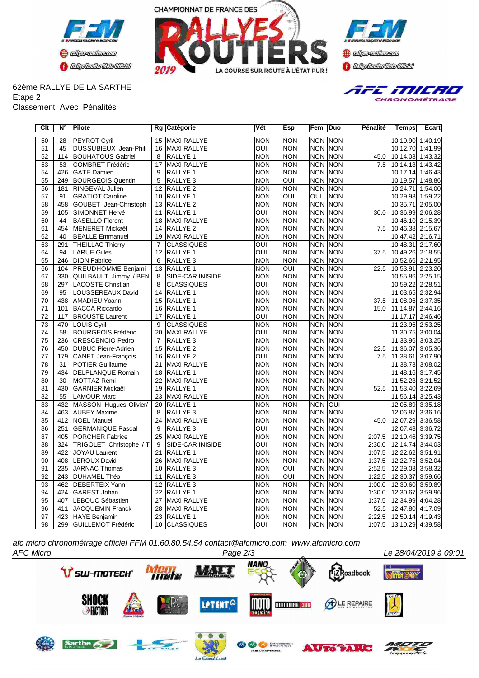





### 62ème RALLYE DE LA SARTHE Etape 2

#### Classement Avec Pénalités



| Clt             | N°               | <b>Pilote</b>              |                 | Rg Catégorie            | Vét                     | Esp              | Fem  Duo       |                | <b>Pénalité</b>   | <b>Temps</b>            | Ecart   |
|-----------------|------------------|----------------------------|-----------------|-------------------------|-------------------------|------------------|----------------|----------------|-------------------|-------------------------|---------|
| 50              | 28               | <b>PEYROT Cyril</b>        |                 | 15 MAXI RALLYE          | <b>NON</b>              | <b>NON</b>       | <b>NON NON</b> |                |                   | 10:10.90 1:40.19        |         |
| 51              | 45               | DUSSUBIEUX Jean-Phili      |                 | 16 MAXI RALLYE          | OUI                     | <b>NON</b>       | <b>NON NON</b> |                |                   | 10:12.70 1:41.99        |         |
| 52              | 114              | <b>BOUHATOUS Gabriel</b>   | 8               | RALLYE 1                | <b>NON</b>              | <b>NON</b>       | <b>NON NON</b> |                | 45.0              | 10:14.03 1:43.32        |         |
| 53              | 53               | COMBRET Frédéric           |                 | 17 MAXI RALLYE          | <b>NON</b>              | <b>NON</b>       | <b>NON NON</b> |                | 7.5               | 10:14.13 1:43.42        |         |
| $\overline{54}$ | 426              | GATE Damien                | $\overline{9}$  | RALLYE 1                | <b>NON</b>              | <b>NON</b>       | <b>NON NON</b> |                |                   | 10:17.14 1:46.43        |         |
| 55              | 249              | <b>BOURGEOIS Quentin</b>   | 5               | RALLYE <sub>3</sub>     | <b>NON</b>              | OUI              | <b>NON</b>     | <b>NON</b>     |                   | 10:19.57 1:48.86        |         |
| 56              | 181              | RINGEVAL Julien            |                 | 12 RALLYE 2             | <b>NON</b>              | <b>NON</b>       |                | <b>NON NON</b> |                   | 10:24.71                | 1:54.00 |
| 57              | 91               | <b>GRATIOT Caroline</b>    |                 | 10 RALLYE 1             | <b>NON</b>              | OUI              | OUI            | <b>NON</b>     |                   | 10:29.93                | 1:59.22 |
| 58              | 458              | GOUBET Jean-Christoph      |                 | 13 RALLYE 2             | <b>NON</b>              | <b>NON</b>       | NON NON        |                |                   | 10:35.71                | 2:05.00 |
| 59              | 105              | SIMONNET Hervé             |                 | 11 RALLYE 1             | OUI                     | <b>NON</b>       | <b>NON</b>     | <b>NON</b>     | 30.0              | 10:36.99 2:06.28        |         |
| 60              | 44               | <b>BASELLO Florent</b>     |                 | 18 MAXI RALLYE          | <b>NON</b>              | <b>NON</b>       | <b>NON NON</b> |                |                   | 10:46.10 2:15.39        |         |
| 61              | 454              | MENERET Mickaël            |                 | 14 RALLYE 2             | <b>NON</b>              | <b>NON</b>       | <b>NON</b>     | <b>NON</b>     | 7.5               | 10:46.38 2:15.67        |         |
| 62              | 40               | <b>BEALLE Emmanuel</b>     |                 | 19 MAXI RALLYE          | <b>NON</b>              | <b>NON</b>       | <b>NON</b>     | <b>NON</b>     |                   | 10:47.42 2:16.71        |         |
| 63              | 291              | <b>THEILLAC Thierry</b>    | $\overline{7}$  | <b>CLASSIQUES</b>       | OUI                     | <b>NON</b>       | <b>NON</b>     | <b>NON</b>     |                   | 10:48.31 2:17.60        |         |
| 64              | 94               | <b>LARUE Gilles</b>        |                 | 12 RALLYE 1             | OUI                     | <b>NON</b>       | <b>NON</b>     | NON            | 37.5              | 10:49.26 2:18.55        |         |
| 65              | 246              | <b>DION Fabrice</b>        | 6               | RALLYE <sub>3</sub>     | <b>NON</b>              | <b>NON</b>       | <b>NON</b>     | <b>NON</b>     |                   | 10:52.66 2:21.95        |         |
| 66              |                  | 104 PREUDHOMME Benjami     |                 | 13 RALLYE 1             | <b>NON</b>              | OUI              | <b>NON NON</b> |                | 22.5              | 10:53.91 2:23.20        |         |
| 67              | 330              | QUILBAULT Jimmy / BEN      | $\overline{8}$  | <b>SIDE-CAR INISIDE</b> | <b>NON</b>              | <b>NON</b>       | NON NON        |                |                   | 10:55.86 2:25.15        |         |
| 68              | 297              | LACOSTE Christian          | 8               | <b>CLASSIQUES</b>       | OUI                     | <b>NON</b>       |                | <b>NON NON</b> |                   | 10:59.22                | 2:28.51 |
| 69              | 95               | LOUSSEREAUX David          |                 | 14 RALLYE 1             | <b>NON</b>              | <b>NON</b>       | <b>NON NON</b> |                |                   | 11:03.65 2:32.94        |         |
| $\overline{70}$ | 438              | AMADIEU Yoann              |                 | 15 RALLYE 1             | <b>NON</b>              | <b>NON</b>       | <b>NON NON</b> |                | 37.5              | 11:08.06 2:37.35        |         |
| $\overline{71}$ | 101              | <b>BACCA Riccardo</b>      |                 | 16 RALLYE 1             | <b>NON</b>              | <b>NON</b>       | <b>NON NON</b> |                | $\overline{1}5.0$ | 11:14.87 2:44.16        |         |
| $\overline{72}$ | $\overline{117}$ | <b>BROUSTE Laurent</b>     | $\overline{17}$ | <b>RALLYE 1</b>         | $\overline{\text{OUI}}$ | <b>NON</b>       |                | <b>NON NON</b> |                   | 11:17.17                | 2:46.46 |
| 73              | 470              | LOUIS Cyril                | 9               | <b>CLASSIQUES</b>       | <b>NON</b>              | <b>NON</b>       | <b>NON NON</b> |                |                   | 11:23.96 2:53.25        |         |
| $\overline{74}$ | $\overline{58}$  | <b>BOURGEOIS Frédéric</b>  |                 | 20 MAXI RALLYE          | OUI                     | <b>NON</b>       | <b>NON</b>     | <b>NON</b>     |                   | 11:30.75 3:00.04        |         |
| 75              | 236              | CRESCENCIO Pedro           | $\overline{7}$  | RALLYE <sub>3</sub>     | <b>NON</b>              | <b>NON</b>       | NON NON        |                |                   | 11:33.96 3:03.25        |         |
| 76              | 450              | <b>DUBUC Pierre-Adrien</b> | $\overline{15}$ | <b>RALLYE 2</b>         | <b>NON</b>              | <b>NON</b>       | <b>NON</b>     | <b>NON</b>     | 22.5              | 11:36.07                | 3:05.36 |
| $\overline{77}$ |                  | 179 CANET Jean-François    |                 | 16 RALLYE 2             | $\overline{\text{OUI}}$ | <b>NON</b>       | <b>NON</b>     | <b>NON</b>     | 7.5               | 11:38.61 3:07.90        |         |
| $\overline{78}$ | $\overline{31}$  | <b>POTIER Guillaume</b>    |                 | 21 MAXI RALLYE          | <b>NON</b>              | <b>NON</b>       | <b>NON</b>     | <b>NON</b>     |                   | 11:38.73 3:08.02        |         |
| $\overline{79}$ | 434              | <b>DELPLANQUE Romain</b>   |                 | 18 RALLYE 1             | <b>NON</b>              | <b>NON</b>       |                | <b>NON NON</b> |                   | 11:48.16 3:17.45        |         |
| 80              | $\overline{30}$  | MOTTAZ Rémi                |                 | 22 MAXI RALLYE          | <b>NON</b>              | <b>NON</b>       | <b>NON</b>     | <b>NON</b>     |                   | 11:52.23                | 3:21.52 |
| $\overline{81}$ | 430              | GARNIER Mickaël            |                 | 19 RALLYE 1             | <b>NON</b>              | <b>NON</b>       | <b>NON</b>     | <b>NON</b>     | 52.5              | 11:53.40                | 3:22.69 |
| 82              | 55               | <b>LAMOUR Marc</b>         |                 | 23 MAXI RALLYE          | <b>NON</b>              | <b>NON</b>       | <b>NON</b>     | <b>NON</b>     |                   | 11:56.14                | 3:25.43 |
| 83              |                  | 432 MASSON Hugues-Olivier/ |                 | 20 RALLYE 1             | <b>NON</b>              | <b>NON</b>       | <b>NON</b>     | loui           |                   | 12:05.89                | 3:35.18 |
| 84              |                  | 463 AUBEY Maxime           | 8               | RALLYE <sub>3</sub>     | <b>NON</b>              | <b>NON</b>       | <b>NON</b>     | <b>NON</b>     |                   | 12:06.87                | 3:36.16 |
| 85              |                  | 412 NOEL Manuel            |                 | 24 MAXI RALLYE          | <b>NON</b>              | <b>NON</b>       | NON NON        |                | 45.0              | 12:07.29                | 3:36.58 |
| 86              | 251              | <b>GERMANIQUE Pascal</b>   | $\overline{9}$  | RALLYE <sub>3</sub>     | ОUІ                     | <b>NON</b>       | <b>NON NON</b> |                |                   | 12:07.43                | 3:36.72 |
| 87              | 405              | <b>PORCHER Fabrice</b>     |                 | 25 MAXI RALLYE          | <b>NON</b>              | <b>NON</b>       | NON NON        |                | 2:07.5            | 12:10.46                | 3:39.75 |
| 88              | 324              | TRIGOLET Christophe / T    | $\overline{9}$  | SIDE-CAR INISIDE        | $\overline{\text{OUI}}$ | <b>NON</b>       | <b>NON NON</b> |                | 2:30.0            | 12:14.74                | 3:44.03 |
| 89              | 422              | <b>JOYAU Laurent</b>       | 21              | <b>RALLYE 1</b>         | <b>NON</b>              | <b>NON</b>       | <b>NON</b>     | <b>NON</b>     | 1:07.5            | 12:22.62                | 3:51.91 |
| 90              | 408              | <b>LEROUX David</b>        | 26              | MAXI RALLYE             | <b>NON</b>              | <b>NON</b>       | <b>NON NON</b> |                | 1:37.5            | 12:22.75                | 3:52.04 |
| 91              | 235              | JARNAC Thomas              |                 | 10 RALLYE 3             | <b>NON</b>              | $\overline{OUI}$ | <b>NON</b>     | <b>NON</b>     | 2:52.5            | 12:29.03                | 3:58.32 |
| 92              |                  | 243 DUHAMEL Théo           | 11              | RALLYE <sub>3</sub>     | <b>NON</b>              | OUI              | <b>NON</b>     | <b>NON</b>     | 1:22.5            | 12:30.37                | 3:59.66 |
| 93              | 462              | <b>DEBERTEIX Yann</b>      |                 | 12 RALLYE 3             | <b>NON</b>              | <b>NON</b>       | <b>NON</b>     | NON            | 1:00.0            | 12:30.60                | 3:59.89 |
| 94              |                  | 424 GAREST Johan           |                 | 22 RALLYE 1             | <b>NON</b>              | <b>NON</b>       |                | NON NON        | 1:30.0            | 12:30.67                | 3:59.96 |
| 95              | 407              | LEBOUC Sébastien           |                 | 27 MAXI RALLYE          | <b>NON</b>              | <b>NON</b>       | <b>NON</b>     | NON            | 1:37.5            | 12:34.99                | 4:04.28 |
| 96              | 411              | JACQUEMIN Franck           |                 | 28 MAXI RALLYE          | <b>NON</b>              | <b>NON</b>       | <b>NON</b>     | <b>NON</b>     | 52.5              | 12:47.80 4:17.09        |         |
| $\overline{97}$ | 423              | HAYE Benjamin              |                 | 23 RALLYE 1             | <b>NON</b>              | <b>NON</b>       | <b>NON</b>     | NON            | 2:22.5            | 12:50.14 4:19.43        |         |
| 98              | 299              | <b>GUILLEMOT Frédéric</b>  |                 | 10 CLASSIQUES           | $\overline{\text{OUI}}$ | <b>NON</b>       | <b>NON NON</b> |                |                   | 1:07.5 13:10.29 4:39.58 |         |
|                 |                  |                            |                 |                         |                         |                  |                |                |                   |                         |         |

*afc micro chronométrage officiel FFM 01.60.80.54.54 contact@afcmicro.com www.afcmicro.com*